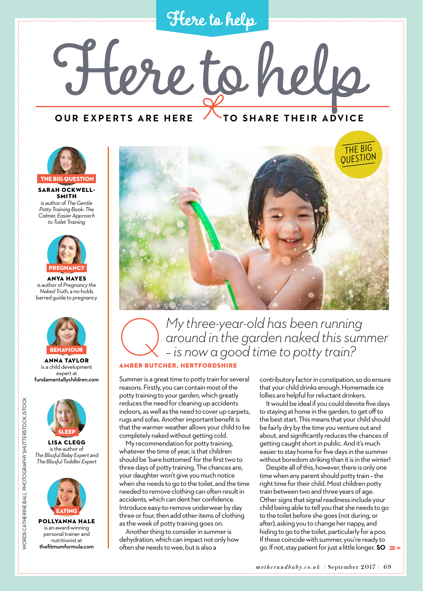**Here to help**

Here to help

**OUR EXPERTS ARE HERE TO SHARE THEIR ADVICE** 



Sarah Ockwell-**SMITH** is author of *The Gentle Potty Training Book: The Calmer, Easier Approach to Toilet Training* 



Anya Hayes is author of *Pregnancy the Naked Truth,* a no-holds barred guide to pregnancy



Anna Taylor is a child development expert at fundamentallychildren.com



WORDS CATHERINE BALL PHOTOGRAPHY SHUTTERSTOCK, ISTOCK

**NORDS CATHERINE BALL PHOTOGRAPHY SHUTTERSTOCK, ISTOCK** 

is the author of *The Blissful Baby Expert* and *The Blissful Toddler Expert*



Pollyanna Hale is an award-winning personal trainer and nutritionist at thefitmumformula.com



## *My three-year-old has been running around in the garden naked this summer – is now a good time to potty train?*

#### Amber Butcher, Hertfordshire

Summer is a great time to potty train for several reasons. Firstly, you can contain most of the potty training to your garden, which greatly reduces the need for cleaning up accidents indoors, as well as the need to cover up carpets, rugs and sofas. Another important benefit is that the warmer weather allows your child to be completely naked without getting cold.

My recommendation for potty training, whatever the time of year, is that children should be 'bare bottomed' for the first two to three days of potty training. The chances are, your daughter won't give you much notice when she needs to go to the toilet, and the time needed to remove clothing can often result in accidents, which can dent her confidence. Introduce easy-to-remove underwear by day three or four, then add other items of clothing as the week of potty training goes on.

Another thing to consider in summer is dehydration, which can impact not only how often she needs to wee, but is also a

contributory factor in constipation, so do ensure that your child drinks enough. Homemade ice lollies are helpful for reluctant drinkers.

It would be ideal if you could devote five days to staying at home in the garden, to get off to the best start. This means that your child should be fairly dry by the time you venture out and about, and significantly reduces the chances of getting caught short in public. And it's much easier to stay home for five days in the summer without boredom striking than it is in the winter!

Despite all of this, however, there is only one time when any parent should potty train – the right time for their child. Most children potty train between two and three years of age. Other signs that signal readiness include your child being able to tell you that she needs to go to the toilet before she goes (not during, or after), asking you to change her nappy, and hiding to go to the toilet, particularly for a poo. If these coincide with summer, you're ready to go. If not, stay patient for just a little longer. **SO**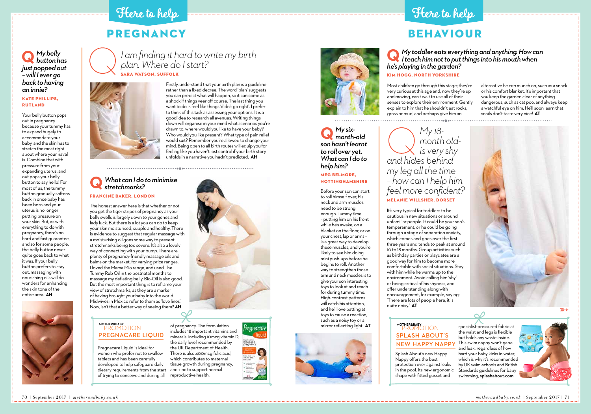# PREGNANCY

#### *My belly button has just popped out – will I ever go back to having an innie?*

#### Kate Phillips, Rutland

Your belly button pops out in pregnancy because your tummy has to expand hugely to accommodate your baby, and the skin has to stretch the most right about where your naval is. Combine that with pressure from your expanding uterus, and out pops your belly button to say hello! For most of us, the tummy button gradually softens back in once baby has been born and your uterus is no longer putting pressure on your skin. But, as with everything to do with pregnancy, there's no hard and fast guarantee, and so for some people, the belly button never quite goes back to what it was. If your belly button prefers to stay out, massaging with nourishing oils will do wonders for enhancing the skin tone of the entire area. **AH**



## **Q** *I am finding it hard to write my birth plan. Where do I start?*  Sara Watson, Suffolk



Firstly, understand that your birth plan is a guideline rather than a fixed decree. The word 'plan' suggests you can predict what will happen, so it can come as a shock if things veer off course. The last thing you want to do is feel like things 'didn't go right'. I prefer to think of this task as assessing your options. It is a good idea to research all avenues. Writing things down will organise in your mind what scenarios you're drawn to: where would you like to have your baby? Who would you like present? What type of pain relief would suit? Remember you're allowed to change your mind. Being open to all birth routes will equip you for feeling like you haven't lost control if your birth story unfolds in a narrative you hadn't predicted. **AH**

**Q** *I* teach him not to put things into his mouth when <br> *he's playing in the garden?* Kim Hogg, north Yorkshire

#### *What can I do to minimise stretchmarks?*  Francine Baker, London **Q**

The honest answer here is that whether or not you get the tiger stripes of pregnancy as your belly swells is largely down to your genes and lady luck. But there is a lot you can do to keep your skin moisturised, supple and healthy. There is evidence to suggest that regular massage with a moisturising oil goes some way to prevent stretchmarks being too severe. It's also a lovely way of connecting with your bump. There are plenty of pregnancy-friendly massage oils and balms on the market, for varying price ranges. I loved the Mama Mio range, and used The Tummy Rub Oil in the postnatal months to massage my deflating belly. Bio-Oil is also good. But the most important thing is to reframe your view of stretchmarks, as they are a marker of having brought your baby into the world. Midwives in Mexico refer to them as 'love lines'. Now, isn't that a better way of seeing them? **AH**

# BEHAVIOUR

*My 18 month oldis very shy and hides behind my leg all the time – how can I help him feel more confident?* Melanie Willsher, Dorset

It's very typical for toddlers to be cautious in new situations or around unfamiliar people. It could be your son's temperament, or he could be going through a stage of separation anxiety, which comes and goes over the first three years and tends to peak at around 10 to 18 months. Group activities such as birthday parties or playdates are a good way for him to become more comfortable with social situations. Stay with him while he warms up to the environment. Avoid calling him 'shy' or being critical of his shyness, and offer understanding along with encouragement, for example, saying: 'There are lots of people here, it is quite noisy.' **AT**

# *My toddler eats everything and anything. How can*



Most children go through this stage; they're very curious at this age and, now they're up and moving, can't wait to use all of their senses to explore their environment. Gently explain to him that he shouldn't eat rocks, grass or mud, and perhaps give him an alternative he *can* munch on, such as a snack or his comfort blanket. It's important that you keep the garden clear of anything dangerous, such as cat poo, and always keep a watchful eye on him. He'll soon learn that snails don't taste very nice! **AT**

*My sixmonth-old*  **Q** *son hasn't learnt to roll over yet. What can I do to help him?* Meg Belmore, Nottinghamshire

Before your son can start to roll himself over, his neck and arm muscles need to be strong enough. Tummy time – putting him on his front while he's awake, on a blanket on the floor, or on your chest, lap or arms – is a great way to develop these muscles, and you're likely to see him doing mini push-ups before he begins to roll. Another way to strengthen those arm and neck muscles is to give your son interesting toys to look at and reach for during tummy time. High-contrast patterns will catch his attention, and he'll love batting at toys to cause a reaction, such as a noisy toy or a mirror reflecting light. **AT**



Splash About's new Happy Nappy offers the best protection ever against leaks in the pool. Its new ergonomic shape with fitted gusset and





## PROMOTION **MOTHER&BABY SPLASH ABOUT'S NEW HAPPY NAPPY**

specialist-pressured fabric at the waist and legs is flexible but holds any waste inside. This swim nappy won't gape and leak, regardless of how hard your baby kicks in water, which is why it's recommended by UK swim-schools and British Standards guidelines for baby swimming, splashabout.com



Pregnacare Liquid is ideal for women who prefer not to swallow tablets and has been carefully developed to help safeguard daily dietary requirements from the start of trying to conceive and during all

## PROMOTION **MOTHER&BABY PREGNACARE LIQUID**







# **Here to help Here to help**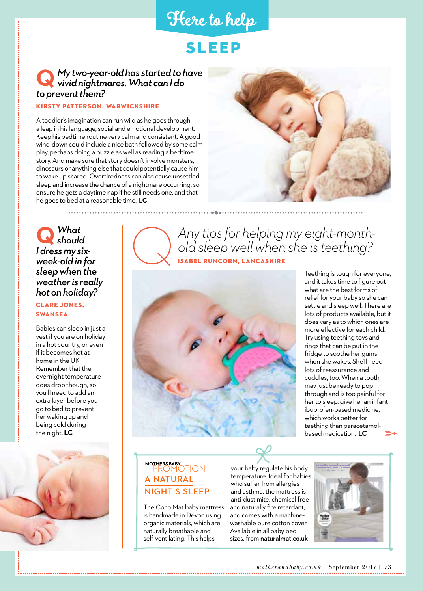## **Here to help**

# SLEEP

## **Q** *My two-year-old has started to have vivid nightmares. What can I do to prevent them?*

#### Kirsty Patterson, Warwickshire

A toddler's imagination can run wild as he goes through a leap in his language, social and emotional development. Keep his bedtime routine very calm and consistent. A good wind-down could include a nice bath followed by some calm play, perhaps doing a puzzle as well as reading a bedtime story. And make sure that story doesn't involve monsters, dinosaurs or anything else that could potentially cause him to wake up scared. Overtiredness can also cause unsettled sleep and increase the chance of a nightmare occurring, so ensure he gets a daytime nap if he still needs one, and that he goes to bed at a reasonable time. **LC**



*What should*  **Q** *I dress my sixweek-old in for sleep when the weather is really hot on holiday?*

#### Clare Jones, **SWANSEA**

Babies can sleep in just a vest if you are on holiday in a hot country, or even if it becomes hot at home in the UK. Remember that the overnight temperature does drop though, so you'll need to add an extra layer before you go to bed to prevent her waking up and being cold during the night. **LC**



*Any tips for helping my eight-monthold sleep well when she is teething?* SABEL RUNCORN, LANCASHIRE



and it takes time to figure out what are the best forms of relief for your baby so she can settle and sleep well. There are lots of products available, but it does vary as to which ones are more effective for each child. Try using teething toys and rings that can be put in the fridge to soothe her gums when she wakes. She'll need lots of reassurance and cuddles, too. When a tooth may just be ready to pop through and is too painful for her to sleep, give her an infant ibuprofen-based medicine, which works better for teething than paracetamolbased medication. **LC**

### PROMOTION **MOTHER&BABY A NATURAL NIGHT'S SLEEP**

The Coco Mat baby mattress is handmade in Devon using organic materials, which are naturally breathable and self-ventilating. This helps

your baby regulate his body temperature. Ideal for babies who suffer from allergies and asthma, the mattress is anti-dust mite, chemical free and naturally fire retardant, and comes with a machinewashable pure cotton cover. Available in all baby bed sizes, from naturalmat.co.uk